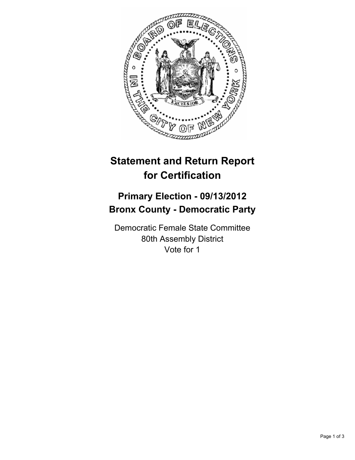

## **Statement and Return Report for Certification**

## **Primary Election - 09/13/2012 Bronx County - Democratic Party**

Democratic Female State Committee 80th Assembly District Vote for 1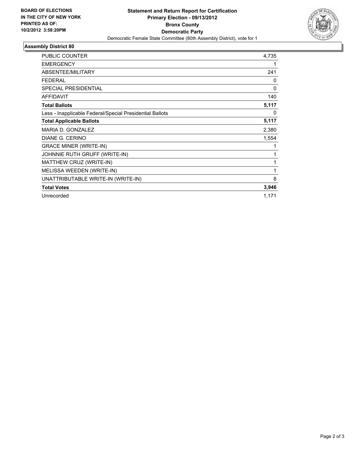

## **Assembly District 80**

| <b>PUBLIC COUNTER</b>                                    | 4,735        |
|----------------------------------------------------------|--------------|
| <b>EMERGENCY</b>                                         | 1            |
| <b>ABSENTEE/MILITARY</b>                                 | 241          |
| <b>FEDERAL</b>                                           | 0            |
| <b>SPECIAL PRESIDENTIAL</b>                              | $\mathbf{0}$ |
| <b>AFFIDAVIT</b>                                         | 140          |
| <b>Total Ballots</b>                                     | 5,117        |
| Less - Inapplicable Federal/Special Presidential Ballots | $\Omega$     |
| <b>Total Applicable Ballots</b>                          | 5,117        |
| MARIA D. GONZALEZ                                        | 2,380        |
| <b>DIANE G. CERINO</b>                                   | 1,554        |
| <b>GRACE MINER (WRITE-IN)</b>                            | 1            |
| JOHNNIE RUTH GRUFF (WRITE-IN)                            | 1            |
| MATTHEW CRUZ (WRITE-IN)                                  | 1            |
| MELISSA WEEDEN (WRITE-IN)                                | 1            |
| UNATTRIBUTABLE WRITE-IN (WRITE-IN)                       | 8            |
| <b>Total Votes</b>                                       | 3,946        |
| Unrecorded                                               | 1,171        |